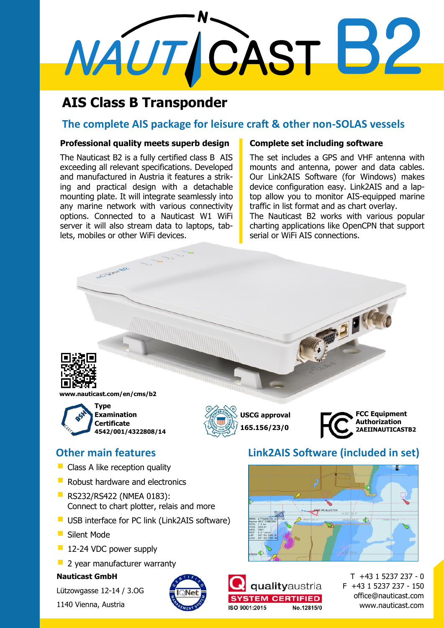# MAUTICAST B2

# **AIS Class B Transponder**

# **The complete AIS package for leisure craft & other non-SOLAS vessels**

### **Professional quality meets superb design**

The Nauticast B2 is a fully certified class B AIS exceeding all relevant specifications. Developed and manufactured in Austria it features a striking and practical design with a detachable mounting plate. It will integrate seamlessly into any marine network with various connectivity options. Connected to a Nauticast W1 WiFi server it will also stream data to laptops, tablets, mobiles or other WiFi devices.

## **Complete set including software**

The set includes a GPS and VHF antenna with mounts and antenna, power and data cables. Our Link2AIS Software (for Windows) makes device configuration easy. Link2AIS and a laptop allow you to monitor AIS-equipped marine traffic in list format and as chart overlay.

The Nauticast B2 works with various popular charting applications like OpenCPN that support serial or WiFi AIS connections.

**PEG** 



**www.nauticast.com/en/cms/b2**

Information St.



- **Class A like reception quality**
- **Robust hardware and electronics**
- **RS232/RS422 (NMEA 0183):** Connect to chart plotter, relais and more
- **USB** interface for PC link (Link2AIS software)
- Silent Mode
- **12-24 VDC power supply**
- <sup>2</sup> 2 year manufacturer warranty

### **Nauticast GmbH**

Lützowgasse 12-14 / 3.OG

1140 Vienna, Austria



# **Other main features Link2AIS Software (included in set)**





**USCG approval 165.156/23/0**

> T +43 1 5237 237 - 0 F +43 1 5237 237 - 150 office@nauticast.com www.nauticast.com

**FCC Equipment Authorization 2AEIINAUTICASTB2**